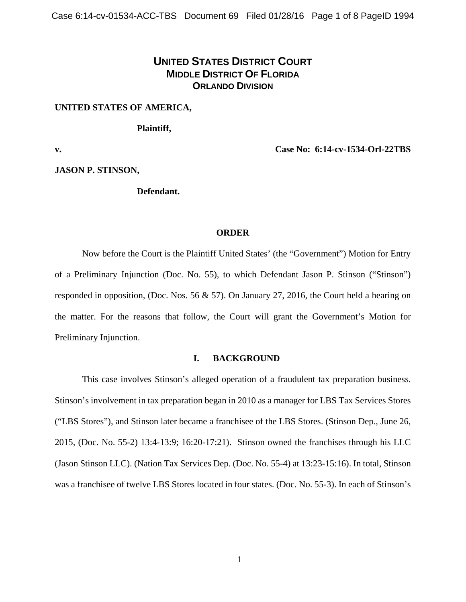# **UNITED STATES DISTRICT COURT MIDDLE DISTRICT OF FLORIDA ORLANDO DIVISION**

## **UNITED STATES OF AMERICA,**

 **Plaintiff,** 

l

**v. Case No: 6:14-cv-1534-Orl-22TBS** 

**JASON P. STINSON,** 

 **Defendant.** 

## **ORDER**

 Now before the Court is the Plaintiff United States' (the "Government") Motion for Entry of a Preliminary Injunction (Doc. No. 55), to which Defendant Jason P. Stinson ("Stinson") responded in opposition, (Doc. Nos. 56 & 57). On January 27, 2016, the Court held a hearing on the matter. For the reasons that follow, the Court will grant the Government's Motion for Preliminary Injunction.

### **I. BACKGROUND**

This case involves Stinson's alleged operation of a fraudulent tax preparation business. Stinson's involvement in tax preparation began in 2010 as a manager for LBS Tax Services Stores ("LBS Stores"), and Stinson later became a franchisee of the LBS Stores. (Stinson Dep., June 26, 2015, (Doc. No. 55-2) 13:4-13:9; 16:20-17:21). Stinson owned the franchises through his LLC (Jason Stinson LLC). (Nation Tax Services Dep. (Doc. No. 55-4) at 13:23-15:16). In total, Stinson was a franchisee of twelve LBS Stores located in four states. (Doc. No. 55-3). In each of Stinson's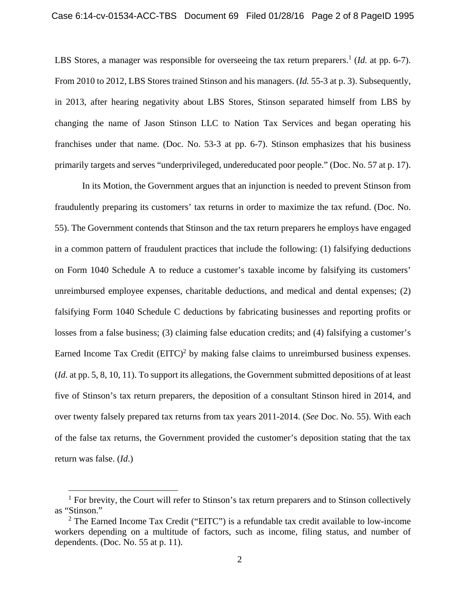LBS Stores, a manager was responsible for overseeing the tax return preparers.<sup>1</sup> (*Id.* at pp. 6-7). From 2010 to 2012, LBS Stores trained Stinson and his managers. (*Id.* 55-3 at p. 3). Subsequently, in 2013, after hearing negativity about LBS Stores, Stinson separated himself from LBS by changing the name of Jason Stinson LLC to Nation Tax Services and began operating his franchises under that name. (Doc. No. 53-3 at pp. 6-7). Stinson emphasizes that his business primarily targets and serves "underprivileged, undereducated poor people." (Doc. No. 57 at p. 17).

In its Motion, the Government argues that an injunction is needed to prevent Stinson from fraudulently preparing its customers' tax returns in order to maximize the tax refund. (Doc. No. 55). The Government contends that Stinson and the tax return preparers he employs have engaged in a common pattern of fraudulent practices that include the following: (1) falsifying deductions on Form 1040 Schedule A to reduce a customer's taxable income by falsifying its customers' unreimbursed employee expenses, charitable deductions, and medical and dental expenses; (2) falsifying Form 1040 Schedule C deductions by fabricating businesses and reporting profits or losses from a false business; (3) claiming false education credits; and (4) falsifying a customer's Earned Income Tax Credit  $(EITC)^2$  by making false claims to unreimbursed business expenses. (*Id*. at pp. 5, 8, 10, 11). To support its allegations, the Government submitted depositions of at least five of Stinson's tax return preparers, the deposition of a consultant Stinson hired in 2014, and over twenty falsely prepared tax returns from tax years 2011-2014. (*See* Doc. No. 55). With each of the false tax returns, the Government provided the customer's deposition stating that the tax return was false. (*Id*.)

<sup>&</sup>lt;sup>1</sup> For brevity, the Court will refer to Stinson's tax return preparers and to Stinson collectively as "Stinson."

<sup>&</sup>lt;sup>2</sup> The Earned Income Tax Credit ("EITC") is a refundable tax credit available to low-income workers depending on a multitude of factors, such as income, filing status, and number of dependents. (Doc. No. 55 at p. 11).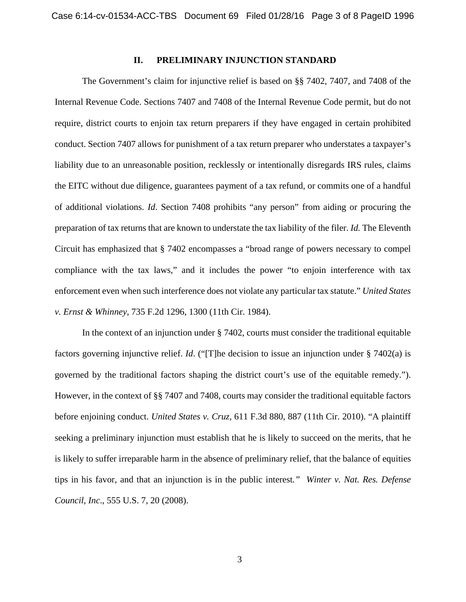#### **II. PRELIMINARY INJUNCTION STANDARD**

The Government's claim for injunctive relief is based on §§ 7402, 7407, and 7408 of the Internal Revenue Code. Sections 7407 and 7408 of the Internal Revenue Code permit, but do not require, district courts to enjoin tax return preparers if they have engaged in certain prohibited conduct. Section 7407 allows for punishment of a tax return preparer who understates a taxpayer's liability due to an unreasonable position, recklessly or intentionally disregards IRS rules, claims the EITC without due diligence, guarantees payment of a tax refund, or commits one of a handful of additional violations. *Id*. Section 7408 prohibits "any person" from aiding or procuring the preparation of tax returns that are known to understate the tax liability of the filer. *Id.* The Eleventh Circuit has emphasized that § 7402 encompasses a "broad range of powers necessary to compel compliance with the tax laws," and it includes the power "to enjoin interference with tax enforcement even when such interference does not violate any particular tax statute." *United States v. Ernst & Whinney*, 735 F.2d 1296, 1300 (11th Cir. 1984).

In the context of an injunction under § 7402, courts must consider the traditional equitable factors governing injunctive relief. *Id*. ("[T]he decision to issue an injunction under § 7402(a) is governed by the traditional factors shaping the district court's use of the equitable remedy."). However, in the context of §§ 7407 and 7408, courts may consider the traditional equitable factors before enjoining conduct. *United States v. Cruz*, 611 F.3d 880, 887 (11th Cir. 2010). "A plaintiff seeking a preliminary injunction must establish that he is likely to succeed on the merits, that he is likely to suffer irreparable harm in the absence of preliminary relief, that the balance of equities tips in his favor, and that an injunction is in the public interest*." Winter v. Nat. Res. Defense Council, Inc*., 555 U.S. 7, 20 (2008).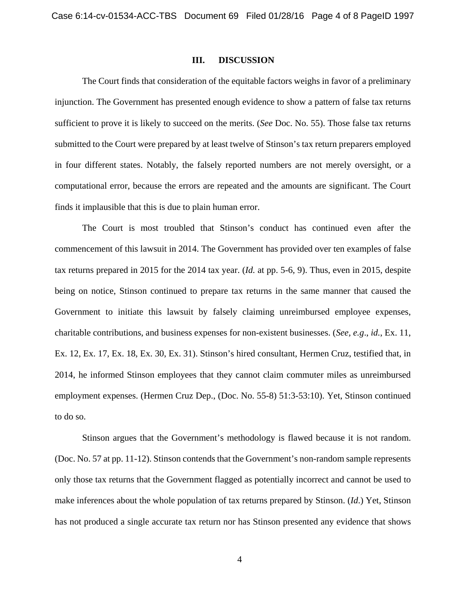#### **III. DISCUSSION**

The Court finds that consideration of the equitable factors weighs in favor of a preliminary injunction. The Government has presented enough evidence to show a pattern of false tax returns sufficient to prove it is likely to succeed on the merits. (*See* Doc. No. 55). Those false tax returns submitted to the Court were prepared by at least twelve of Stinson's tax return preparers employed in four different states. Notably, the falsely reported numbers are not merely oversight, or a computational error, because the errors are repeated and the amounts are significant. The Court finds it implausible that this is due to plain human error.

The Court is most troubled that Stinson's conduct has continued even after the commencement of this lawsuit in 2014. The Government has provided over ten examples of false tax returns prepared in 2015 for the 2014 tax year. (*Id.* at pp. 5-6, 9). Thus, even in 2015, despite being on notice, Stinson continued to prepare tax returns in the same manner that caused the Government to initiate this lawsuit by falsely claiming unreimbursed employee expenses, charitable contributions, and business expenses for non-existent businesses. (*See, e.g*., *id.*, Ex. 11, Ex. 12, Ex. 17, Ex. 18, Ex. 30, Ex. 31). Stinson's hired consultant, Hermen Cruz, testified that, in 2014, he informed Stinson employees that they cannot claim commuter miles as unreimbursed employment expenses. (Hermen Cruz Dep., (Doc. No. 55-8) 51:3-53:10). Yet, Stinson continued to do so.

Stinson argues that the Government's methodology is flawed because it is not random. (Doc. No. 57 at pp. 11-12). Stinson contends that the Government's non-random sample represents only those tax returns that the Government flagged as potentially incorrect and cannot be used to make inferences about the whole population of tax returns prepared by Stinson. (*Id*.) Yet, Stinson has not produced a single accurate tax return nor has Stinson presented any evidence that shows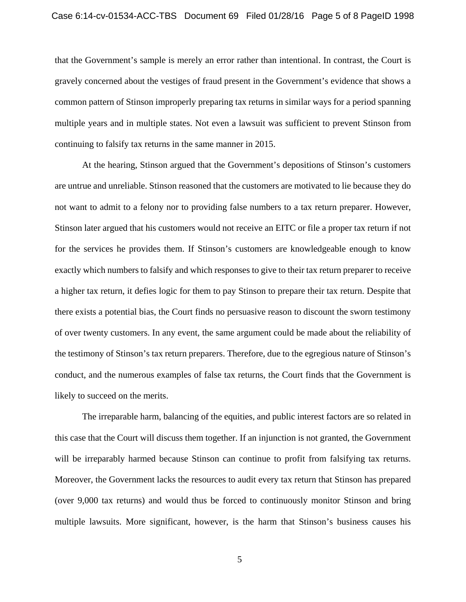that the Government's sample is merely an error rather than intentional. In contrast, the Court is gravely concerned about the vestiges of fraud present in the Government's evidence that shows a common pattern of Stinson improperly preparing tax returns in similar ways for a period spanning multiple years and in multiple states. Not even a lawsuit was sufficient to prevent Stinson from continuing to falsify tax returns in the same manner in 2015.

At the hearing, Stinson argued that the Government's depositions of Stinson's customers are untrue and unreliable. Stinson reasoned that the customers are motivated to lie because they do not want to admit to a felony nor to providing false numbers to a tax return preparer. However, Stinson later argued that his customers would not receive an EITC or file a proper tax return if not for the services he provides them. If Stinson's customers are knowledgeable enough to know exactly which numbers to falsify and which responses to give to their tax return preparer to receive a higher tax return, it defies logic for them to pay Stinson to prepare their tax return. Despite that there exists a potential bias, the Court finds no persuasive reason to discount the sworn testimony of over twenty customers. In any event, the same argument could be made about the reliability of the testimony of Stinson's tax return preparers. Therefore, due to the egregious nature of Stinson's conduct, and the numerous examples of false tax returns, the Court finds that the Government is likely to succeed on the merits.

The irreparable harm, balancing of the equities, and public interest factors are so related in this case that the Court will discuss them together. If an injunction is not granted, the Government will be irreparably harmed because Stinson can continue to profit from falsifying tax returns. Moreover, the Government lacks the resources to audit every tax return that Stinson has prepared (over 9,000 tax returns) and would thus be forced to continuously monitor Stinson and bring multiple lawsuits. More significant, however, is the harm that Stinson's business causes his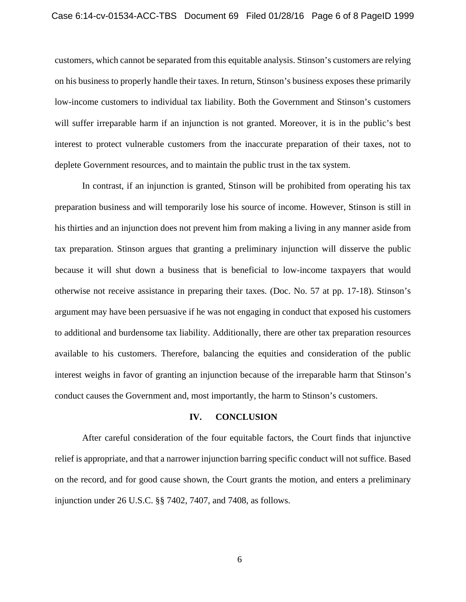customers, which cannot be separated from this equitable analysis. Stinson's customers are relying on his business to properly handle their taxes. In return, Stinson's business exposes these primarily low-income customers to individual tax liability. Both the Government and Stinson's customers will suffer irreparable harm if an injunction is not granted. Moreover, it is in the public's best interest to protect vulnerable customers from the inaccurate preparation of their taxes, not to deplete Government resources, and to maintain the public trust in the tax system.

In contrast, if an injunction is granted, Stinson will be prohibited from operating his tax preparation business and will temporarily lose his source of income. However, Stinson is still in his thirties and an injunction does not prevent him from making a living in any manner aside from tax preparation. Stinson argues that granting a preliminary injunction will disserve the public because it will shut down a business that is beneficial to low-income taxpayers that would otherwise not receive assistance in preparing their taxes. (Doc. No. 57 at pp. 17-18). Stinson's argument may have been persuasive if he was not engaging in conduct that exposed his customers to additional and burdensome tax liability. Additionally, there are other tax preparation resources available to his customers. Therefore, balancing the equities and consideration of the public interest weighs in favor of granting an injunction because of the irreparable harm that Stinson's conduct causes the Government and, most importantly, the harm to Stinson's customers.

### **IV. CONCLUSION**

After careful consideration of the four equitable factors, the Court finds that injunctive relief is appropriate, and that a narrower injunction barring specific conduct will not suffice. Based on the record, and for good cause shown, the Court grants the motion, and enters a preliminary injunction under 26 U.S.C. §§ 7402, 7407, and 7408, as follows.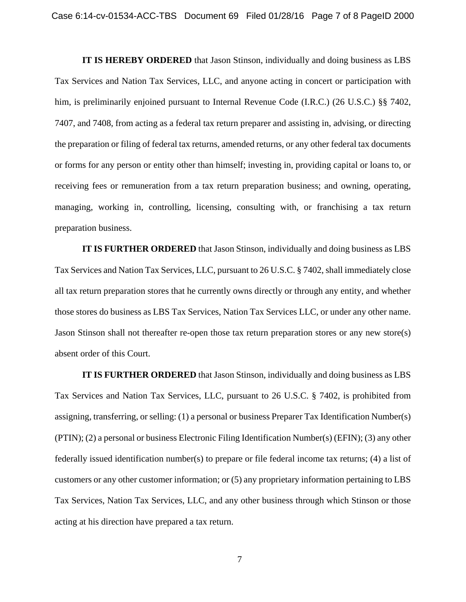**IT IS HEREBY ORDERED** that Jason Stinson, individually and doing business as LBS Tax Services and Nation Tax Services, LLC, and anyone acting in concert or participation with him, is preliminarily enjoined pursuant to Internal Revenue Code (I.R.C.) (26 U.S.C.) §§ 7402, 7407, and 7408, from acting as a federal tax return preparer and assisting in, advising, or directing the preparation or filing of federal tax returns, amended returns, or any other federal tax documents or forms for any person or entity other than himself; investing in, providing capital or loans to, or receiving fees or remuneration from a tax return preparation business; and owning, operating, managing, working in, controlling, licensing, consulting with, or franchising a tax return preparation business.

**IT IS FURTHER ORDERED** that Jason Stinson, individually and doing business as LBS Tax Services and Nation Tax Services, LLC, pursuant to 26 U.S.C. § 7402, shall immediately close all tax return preparation stores that he currently owns directly or through any entity, and whether those stores do business as LBS Tax Services, Nation Tax Services LLC, or under any other name. Jason Stinson shall not thereafter re-open those tax return preparation stores or any new store(s) absent order of this Court.

**IT IS FURTHER ORDERED** that Jason Stinson, individually and doing business as LBS Tax Services and Nation Tax Services, LLC, pursuant to 26 U.S.C. § 7402, is prohibited from assigning, transferring, or selling: (1) a personal or business Preparer Tax Identification Number(s) (PTIN); (2) a personal or business Electronic Filing Identification Number(s) (EFIN); (3) any other federally issued identification number(s) to prepare or file federal income tax returns; (4) a list of customers or any other customer information; or (5) any proprietary information pertaining to LBS Tax Services, Nation Tax Services, LLC, and any other business through which Stinson or those acting at his direction have prepared a tax return.